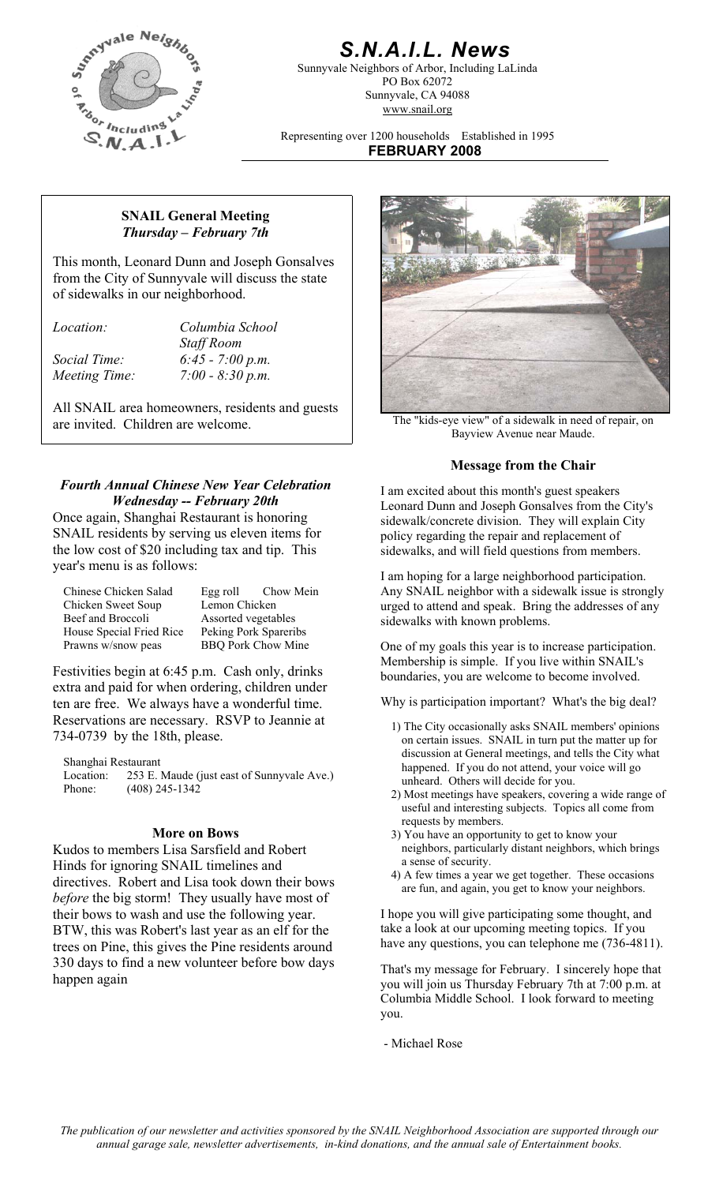

# *S.N.A.I.L. News*

Sunnyvale Neighbors of Arbor, Including LaLinda PO Box 62072 Sunnyvale, CA 94088 www.snail.org

Representing over 1200 households Established in 1995 **FEBRUARY 2008**

#### **SNAIL General Meeting**  *Thursday – February 7th*

This month, Leonard Dunn and Joseph Gonsalves from the City of Sunnyvale will discuss the state of sidewalks in our neighborhood.

*Location: Columbia School Staff Room Social Time: 6:45 - 7:00 p.m. Meeting Time: 7:00 - 8:30 p.m.* 

All SNAIL area homeowners, residents and guests are invited. Children are welcome.

### *Fourth Annual Chinese New Year Celebration Wednesday -- February 20th*

Once again, Shanghai Restaurant is honoring SNAIL residents by serving us eleven items for the low cost of \$20 including tax and tip. This year's menu is as follows:

| Chinese Chicken Salad    |                           | Egg roll Chow Mein |
|--------------------------|---------------------------|--------------------|
| Chicken Sweet Soup       | Lemon Chicken             |                    |
| Beef and Broccoli        | Assorted vegetables       |                    |
| House Special Fried Rice | Peking Pork Spareribs     |                    |
| Prawns w/snow peas       | <b>BBQ Pork Chow Mine</b> |                    |

Festivities begin at 6:45 p.m. Cash only, drinks boundaries, you are welcome to become involved. extra and paid for when ordering, children under ten are free. We always have a wonderful time. Reservations are necessary. RSVP to Jeannie at 734-0739 by the 18th, please.

Shanghai Restaurant Location: 253 E. Maude (just east of Sunnyvale Ave.)

Kudos to members Lisa Sarsfield and Robert Hinds for ignoring SNAIL timelines and directives. Robert and Lisa took down their bows *before* the big storm! They usually have most of their bows to wash and use the following year. BTW, this was Robert's last year as an elf for the trees on Pine, this gives the Pine residents around 330 days to find a new volunteer before bow days happen again



The "kids-eye view" of a sidewalk in need of repair, on Bayview Avenue near Maude.

#### **Message from the Chair**

I am excited about this month's guest speakers Leonard Dunn and Joseph Gonsalves from the City's sidewalk/concrete division. They will explain City policy regarding the repair and replacement of sidewalks, and will field questions from members.

I am hoping for a large neighborhood participation. Any SNAIL neighbor with a sidewalk issue is strongly urged to attend and speak. Bring the addresses of any sidewalks with known problems.

One of my goals this year is to increase participation. Membership is simple. If you live within SNAIL's

Why is participation important? What's the big deal?

- 1) The City occasionally asks SNAIL members' opinions on certain issues. SNAIL in turn put the matter up for discussion at General meetings, and tells the City what happened. If you do not attend, your voice will go unheard. Others will decide for you.
- Phone: (408) 245-1342 2) Most meetings have speakers, covering a wide range of useful and interesting subjects. Topics all come from requests by members.
	- **More on Bows** 3) You have an opportunity to get to know your neighbors, particularly distant neighbors, which brings a sense of security.
		- 4) A few times a year we get together. These occasions are fun, and again, you get to know your neighbors.

I hope you will give participating some thought, and take a look at our upcoming meeting topics. If you have any questions, you can telephone me  $(736-4811)$ .

That's my message for February. I sincerely hope that you will join us Thursday February 7th at 7:00 p.m. at Columbia Middle School. I look forward to meeting you.

- Michael Rose